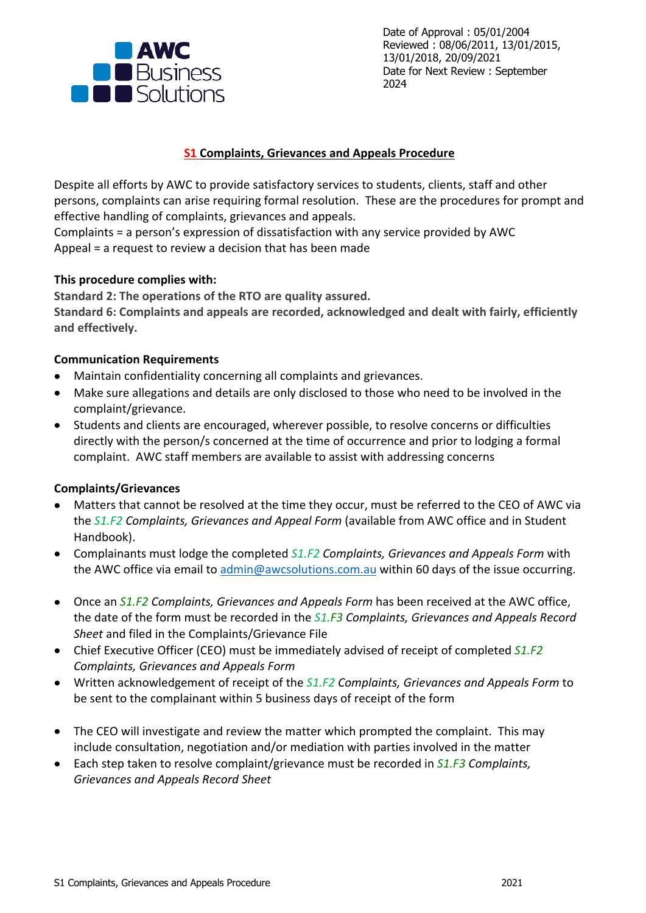

Date of Approval : 05/01/2004 Reviewed : 08/06/2011, 13/01/2015, 13/01/2018, 20/09/2021 Date for Next Review : September 2024

### **S1 Complaints, Grievances and Appeals Procedure**

Despite all efforts by AWC to provide satisfactory services to students, clients, staff and other persons, complaints can arise requiring formal resolution. These are the procedures for prompt and effective handling of complaints, grievances and appeals.

Complaints = a person's expression of dissatisfaction with any service provided by AWC Appeal = a request to review a decision that has been made

#### **This procedure complies with:**

**Standard 2: The operations of the RTO are quality assured. Standard 6: Complaints and appeals are recorded, acknowledged and dealt with fairly, efficiently and effectively.**

### **Communication Requirements**

- Maintain confidentiality concerning all complaints and grievances.
- Make sure allegations and details are only disclosed to those who need to be involved in the complaint/grievance.
- Students and clients are encouraged, wherever possible, to resolve concerns or difficulties directly with the person/s concerned at the time of occurrence and prior to lodging a formal complaint. AWC staff members are available to assist with addressing concerns

# **Complaints/Grievances**

- Matters that cannot be resolved at the time they occur, must be referred to the CEO of AWC via the *S1.F2 Complaints, Grievances and Appeal Form* (available from AWC office and in Student Handbook).
- Complainants must lodge the completed *S1.F2 Complaints, Grievances and Appeals Form* with the AWC office via email to admin@awcsolutions.com.au within 60 days of the issue occurring.
- Once an *S1.F2 Complaints, Grievances and Appeals Form* has been received at the AWC office, the date of the form must be recorded in the *S1.F3 Complaints, Grievances and Appeals Record Sheet* and filed in the Complaints/Grievance File
- Chief Executive Officer (CEO) must be immediately advised of receipt of completed *S1.F2 Complaints, Grievances and Appeals Form*
- Written acknowledgement of receipt of the *S1.F2 Complaints, Grievances and Appeals Form* to be sent to the complainant within 5 business days of receipt of the form
- The CEO will investigate and review the matter which prompted the complaint. This may include consultation, negotiation and/or mediation with parties involved in the matter
- Each step taken to resolve complaint/grievance must be recorded in *S1.F3 Complaints, Grievances and Appeals Record Sheet*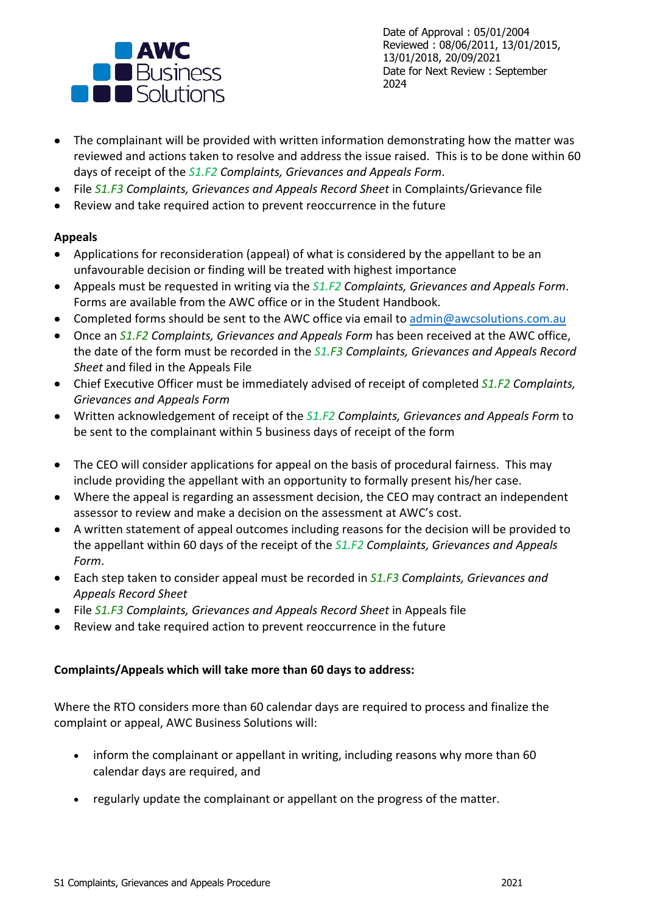

Date of Approval : 05/01/2004 Reviewed : 08/06/2011, 13/01/2015, 13/01/2018, 20/09/2021 Date for Next Review : September 2024

- The complainant will be provided with written information demonstrating how the matter was reviewed and actions taken to resolve and address the issue raised. This is to be done within 60 days of receipt of the *S1.F2 Complaints, Grievances and Appeals Form*.
- File *S1.F3 Complaints, Grievances and Appeals Record Sheet* in Complaints/Grievance file
- Review and take required action to prevent reoccurrence in the future

# **Appeals**

- Applications for reconsideration (appeal) of what is considered by the appellant to be an unfavourable decision or finding will be treated with highest importance
- Appeals must be requested in writing via the *S1.F2 Complaints, Grievances and Appeals Form*. Forms are available from the AWC office or in the Student Handbook.
- Completed forms should be sent to the AWC office via email to admin@awcsolutions.com.au
- Once an *S1.F2 Complaints, Grievances and Appeals Form* has been received at the AWC office, the date of the form must be recorded in the *S1.F3 Complaints, Grievances and Appeals Record Sheet* and filed in the Appeals File
- Chief Executive Officer must be immediately advised of receipt of completed *S1.F2 Complaints, Grievances and Appeals Form*
- Written acknowledgement of receipt of the *S1.F2 Complaints, Grievances and Appeals Form* to be sent to the complainant within 5 business days of receipt of the form
- The CEO will consider applications for appeal on the basis of procedural fairness. This may include providing the appellant with an opportunity to formally present his/her case.
- Where the appeal is regarding an assessment decision, the CEO may contract an independent assessor to review and make a decision on the assessment at AWC's cost.
- A written statement of appeal outcomes including reasons for the decision will be provided to the appellant within 60 days of the receipt of the *S1.F2 Complaints, Grievances and Appeals Form*.
- Each step taken to consider appeal must be recorded in *S1.F3 Complaints, Grievances and Appeals Record Sheet*
- File *S1.F3 Complaints, Grievances and Appeals Record Sheet* in Appeals file
- Review and take required action to prevent reoccurrence in the future

# **Complaints/Appeals which will take more than 60 days to address:**

Where the RTO considers more than 60 calendar days are required to process and finalize the complaint or appeal, AWC Business Solutions will:

- inform the complainant or appellant in writing, including reasons why more than 60 calendar days are required, and
- regularly update the complainant or appellant on the progress of the matter.